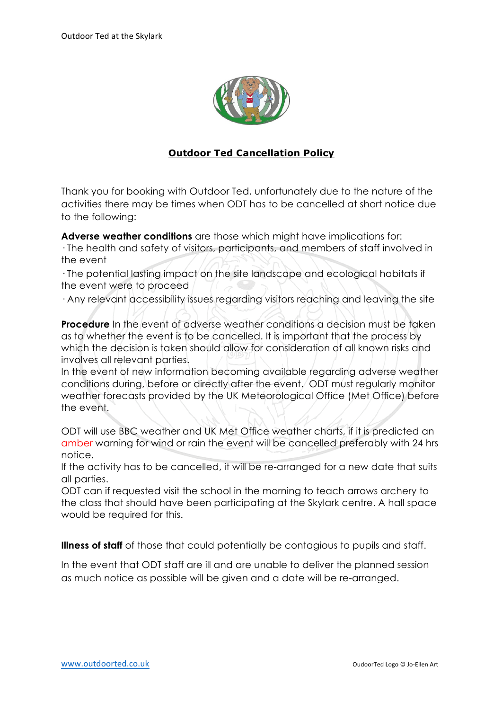

## **Outdoor Ted Cancellation Policy**

Thank you for booking with Outdoor Ted, unfortunately due to the nature of the activities there may be times when ODT has to be cancelled at short notice due to the following:

**Adverse weather conditions** are those which might have implications for: · The health and safety of visitors, participants, and members of staff involved in

the event

· The potential lasting impact on the site landscape and ecological habitats if the event were to proceed

· Any relevant accessibility issues regarding visitors reaching and leaving the site

**Procedure** In the event of adverse weather conditions a decision must be taken as to whether the event is to be cancelled. It is important that the process by which the decision is taken should allow for consideration of all known risks and involves all relevant parties.

In the event of new information becoming available regarding adverse weather conditions during, before or directly after the event. ODT must regularly monitor weather forecasts provided by the UK Meteorological Office (Met Office) before the event.

ODT will use BBC weather and UK Met Office weather charts, if it is predicted an amber warning for wind or rain the event will be cancelled preferably with 24 hrs notice.

If the activity has to be cancelled, it will be re-arranged for a new date that suits all parties.

ODT can if requested visit the school in the morning to teach arrows archery to the class that should have been participating at the Skylark centre. A hall space would be required for this.

**Illness of staff** of those that could potentially be contagious to pupils and staff.

In the event that ODT staff are ill and are unable to deliver the planned session as much notice as possible will be given and a date will be re-arranged.